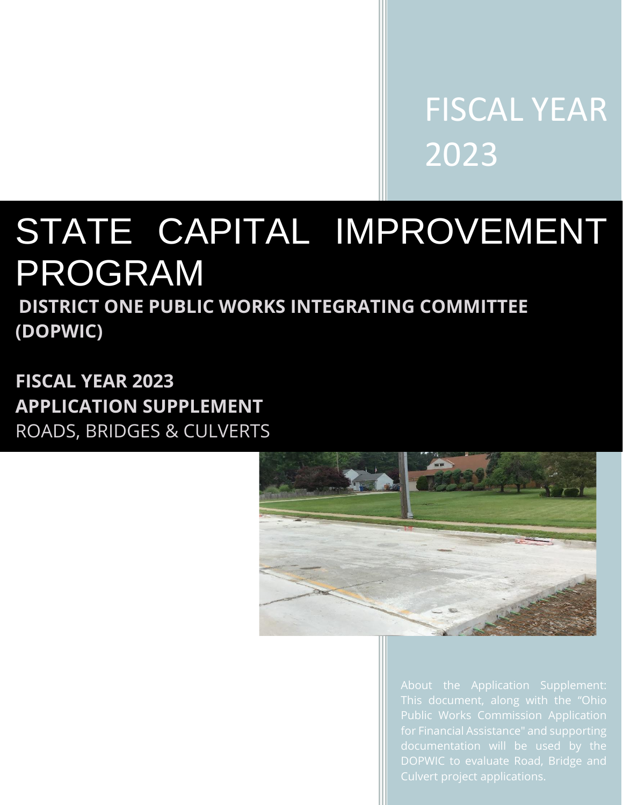FISCAL YEAR 2023

# STATE CAPITAL IMPROVEMENT PROGRAM

**DISTRICT ONE PUBLIC WORKS INTEGRATING COMMITTEE (DOPWIC)** 

**FISCAL YEAR 2023 APPLICATION SUPPLEMENT**  ROADS, BRIDGES & CULVERTS



Public Works Commission Application DOPWIC to evaluate Road, Bridge and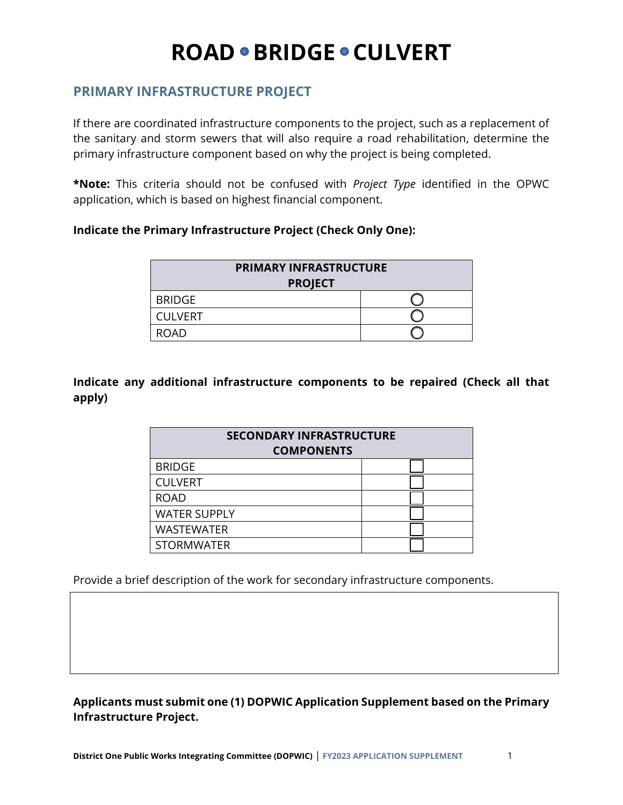### **PRIMARY INFRASTRUCTURE PROJECT**

If there are coordinated infrastructure components to the project, such as a replacement of the sanitary and storm sewers that will also require a road rehabilitation, determine the primary infrastructure component based on why the project is being completed.

**\*Note:** This criteria should not be confused with *Project Type* identified in the OPWC application, which is based on highest financial component.

#### **Indicate the Primary Infrastructure Project (Check Only One):**

| <b>PRIMARY INFRASTRUCTURE</b><br><b>PROJECT</b> |  |  |
|-------------------------------------------------|--|--|
| <b>BRIDGE</b>                                   |  |  |
| <b>CULVERT</b>                                  |  |  |
| <b>ROAD</b>                                     |  |  |

#### **Indicate any additional infrastructure components to be repaired (Check all that apply)**

| <b>SECONDARY INFRASTRUCTURE</b><br><b>COMPONENTS</b> |  |
|------------------------------------------------------|--|
| <b>BRIDGE</b>                                        |  |
| <b>CULVERT</b>                                       |  |
| <b>ROAD</b>                                          |  |
| <b>WATER SUPPLY</b>                                  |  |
| <b>WASTEWATER</b>                                    |  |
| <b>STORMWATER</b>                                    |  |

Provide a brief description of the work for secondary infrastructure components.

**Applicants must submit one (1) DOPWIC Application Supplement based on the Primary Infrastructure Project.**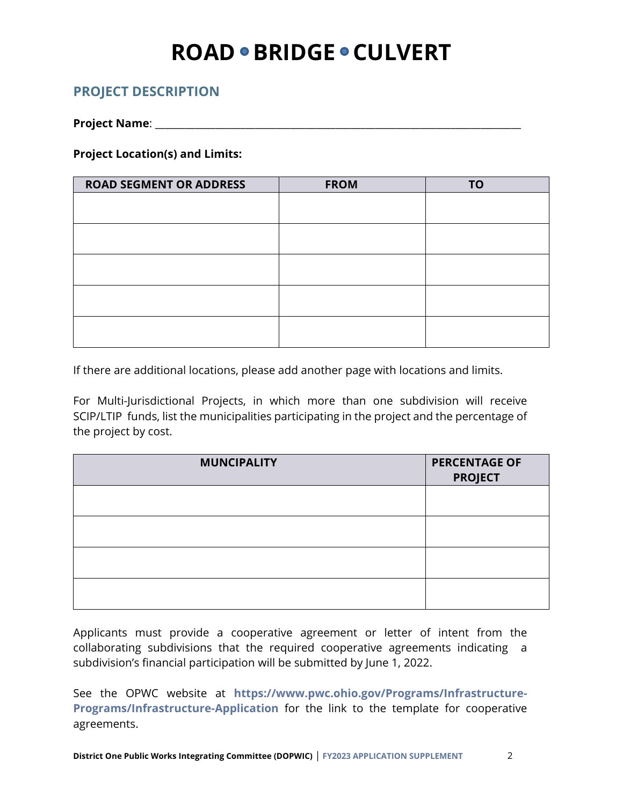### **PROJECT DESCRIPTION**

**Project Name**: \_\_\_\_\_\_\_\_\_\_\_\_\_\_\_\_\_\_\_\_\_\_\_\_\_\_\_\_\_\_\_\_\_\_\_\_\_\_\_\_\_\_\_\_\_\_\_\_\_\_\_\_\_\_\_\_\_\_\_\_\_\_\_\_\_\_\_\_\_\_\_\_\_

**Project Location(s) and Limits:** 

| <b>ROAD SEGMENT OR ADDRESS</b> | <b>FROM</b> | <b>TO</b> |
|--------------------------------|-------------|-----------|
|                                |             |           |
|                                |             |           |
|                                |             |           |
|                                |             |           |
|                                |             |           |
|                                |             |           |
|                                |             |           |
|                                |             |           |
|                                |             |           |
|                                |             |           |

If there are additional locations, please add another page with locations and limits.

For Multi-Jurisdictional Projects, in which more than one subdivision will receive SCIP/LTIP funds, list the municipalities participating in the project and the percentage of the project by cost.

| <b>MUNCIPALITY</b> | <b>PERCENTAGE OF</b><br><b>PROJECT</b> |
|--------------------|----------------------------------------|
|                    |                                        |
|                    |                                        |
|                    |                                        |
|                    |                                        |

Applicants must provide a cooperative agreement or letter of intent from the collaborating subdivisions that the required cooperative agreements indicating a subdivision's financial participation will be submitted by June 1, 2022.

See the OPWC website at **[https://www.pwc.ohio.gov/Programs/Infrastructure-](https://www.pwc.ohio.gov/Programs/Infrastructure-Programs/Infrastructure-Application)[Programs/Infrastructure-Application](https://www.pwc.ohio.gov/Programs/Infrastructure-Programs/Infrastructure-Application)** for the link to the template for cooperative agreements.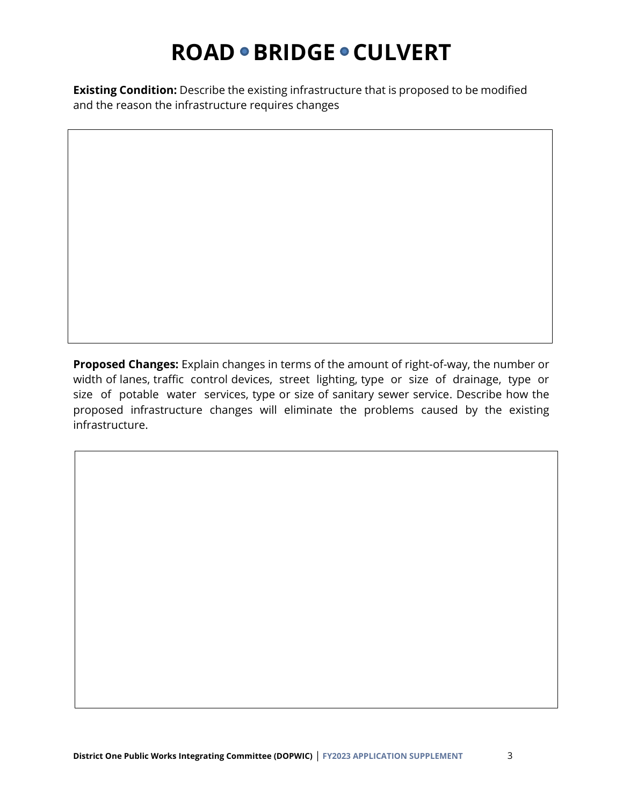**Existing Condition:** Describe the existing infrastructure that is proposed to be modified and the reason the infrastructure requires changes

**Proposed Changes:** Explain changes in terms of the amount of right-of-way, the number or width of lanes, traffic control devices, street lighting, type or size of drainage, type or size of potable water services, type or size of sanitary sewer service. Describe how the proposed infrastructure changes will eliminate the problems caused by the existing infrastructure.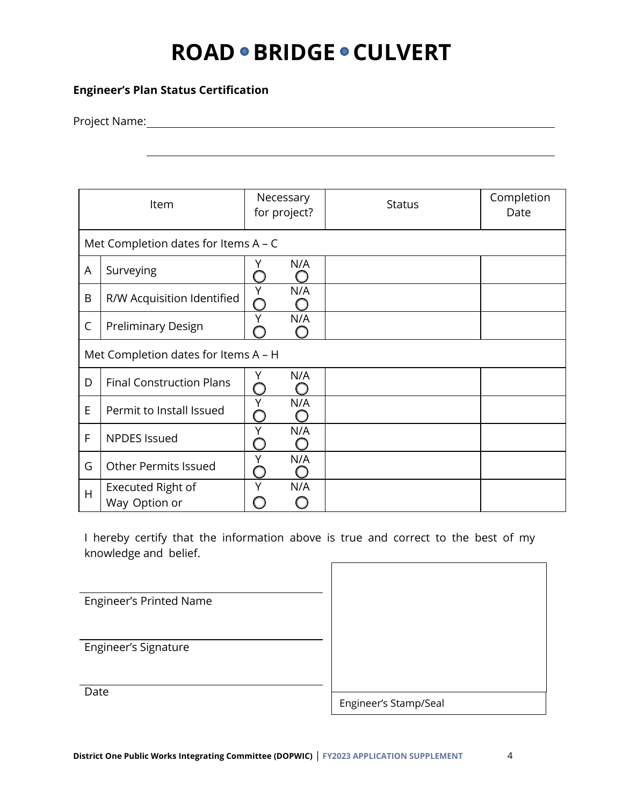#### **Engineer's Plan Status Certification**

Project Name:

|   | Item                                   | Necessary<br>for project? | <b>Status</b> | Completion<br>Date |
|---|----------------------------------------|---------------------------|---------------|--------------------|
|   | Met Completion dates for Items $A - C$ |                           |               |                    |
| A | Surveying                              | N/A<br>Y                  |               |                    |
| B | R/W Acquisition Identified             | Υ<br>N/A<br>()            |               |                    |
| C | <b>Preliminary Design</b>              | N/A<br>Υ                  |               |                    |
|   | Met Completion dates for Items A - H   |                           |               |                    |
| D | <b>Final Construction Plans</b>        | N/A<br>Y                  |               |                    |
| E | Permit to Install Issued               | N/A<br>Υ                  |               |                    |
| F | <b>NPDES Issued</b>                    | Υ<br>N/A                  |               |                    |
| G | <b>Other Permits Issued</b>            | N/A<br>Υ                  |               |                    |
| H | Executed Right of<br>Way Option or     | N/A<br>Υ                  |               |                    |

I hereby certify that the information above is true and correct to the best of my knowledge and belief.

Engineer's Printed Name

Engineer's Signature

**Date** 

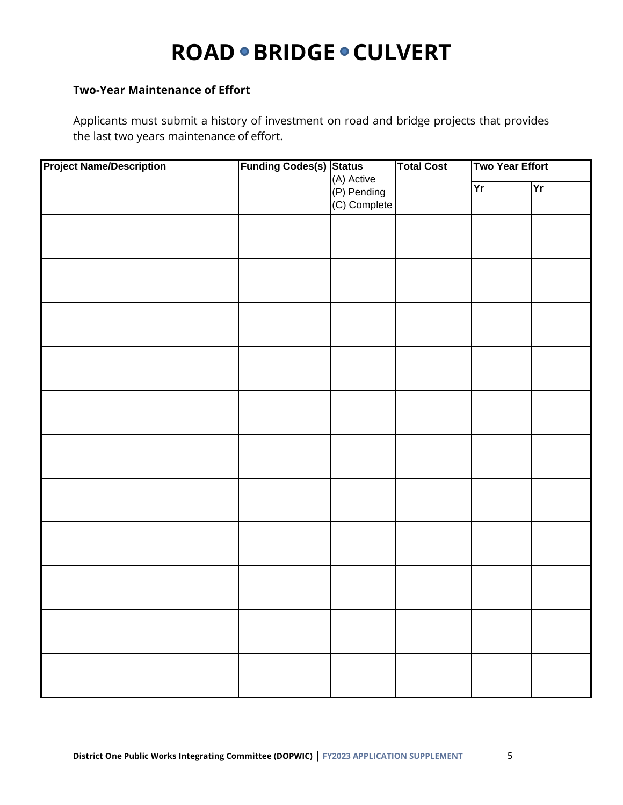#### **Two-Year Maintenance of Effort**

Applicants must submit a history of investment on road and bridge projects that provides the last two years maintenance of effort.

| <b>Project Name/Description</b> | <b>Funding Codes(s) Status</b> | (A) Active                  | <b>Total Cost</b> | <b>Two Year Effort</b> |    |
|---------------------------------|--------------------------------|-----------------------------|-------------------|------------------------|----|
|                                 |                                | (P) Pending<br>(C) Complete |                   | Yr                     | Yr |
|                                 |                                |                             |                   |                        |    |
|                                 |                                |                             |                   |                        |    |
|                                 |                                |                             |                   |                        |    |
|                                 |                                |                             |                   |                        |    |
|                                 |                                |                             |                   |                        |    |
|                                 |                                |                             |                   |                        |    |
|                                 |                                |                             |                   |                        |    |
|                                 |                                |                             |                   |                        |    |
|                                 |                                |                             |                   |                        |    |
|                                 |                                |                             |                   |                        |    |
|                                 |                                |                             |                   |                        |    |
|                                 |                                |                             |                   |                        |    |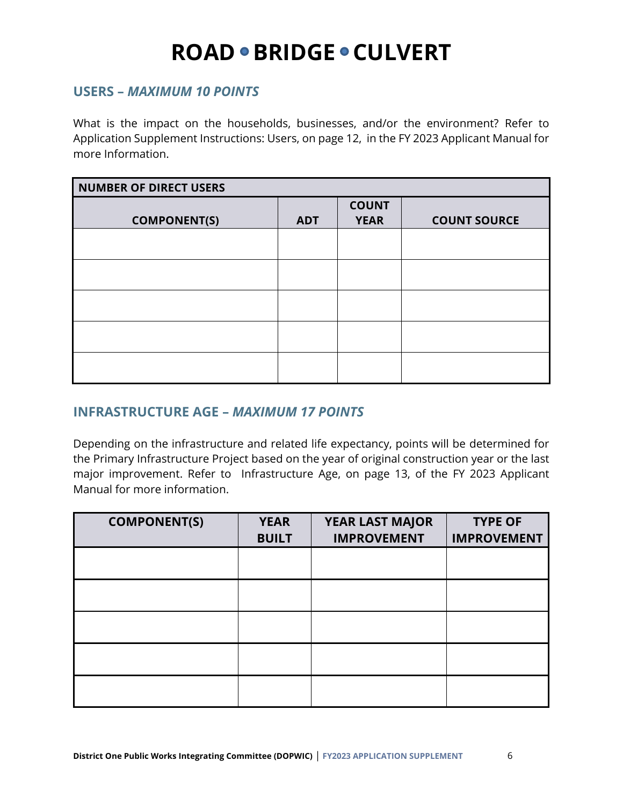#### **USERS –** *MAXIMUM 10 POINTS*

What is the impact on the households, businesses, and/or the environment? Refer to Application Supplement Instructions: Users, on page 12, in the FY 2023 Applicant Manual for more Information.

| <b>NUMBER OF DIRECT USERS</b> |            |                             |                     |
|-------------------------------|------------|-----------------------------|---------------------|
| <b>COMPONENT(S)</b>           | <b>ADT</b> | <b>COUNT</b><br><b>YEAR</b> | <b>COUNT SOURCE</b> |
|                               |            |                             |                     |
|                               |            |                             |                     |
|                               |            |                             |                     |
|                               |            |                             |                     |
|                               |            |                             |                     |

### **INFRASTRUCTURE AGE –** *MAXIMUM 17 POINTS*

Depending on the infrastructure and related life expectancy, points will be determined for the Primary Infrastructure Project based on the year of original construction year or the last major improvement. Refer to Infrastructure Age, on page 13, of the FY 2023 Applicant Manual for more information.

| <b>COMPONENT(S)</b> | <b>YEAR</b><br><b>BUILT</b> | YEAR LAST MAJOR<br><b>IMPROVEMENT</b> | <b>TYPE OF</b><br><b>IMPROVEMENT</b> |
|---------------------|-----------------------------|---------------------------------------|--------------------------------------|
|                     |                             |                                       |                                      |
|                     |                             |                                       |                                      |
|                     |                             |                                       |                                      |
|                     |                             |                                       |                                      |
|                     |                             |                                       |                                      |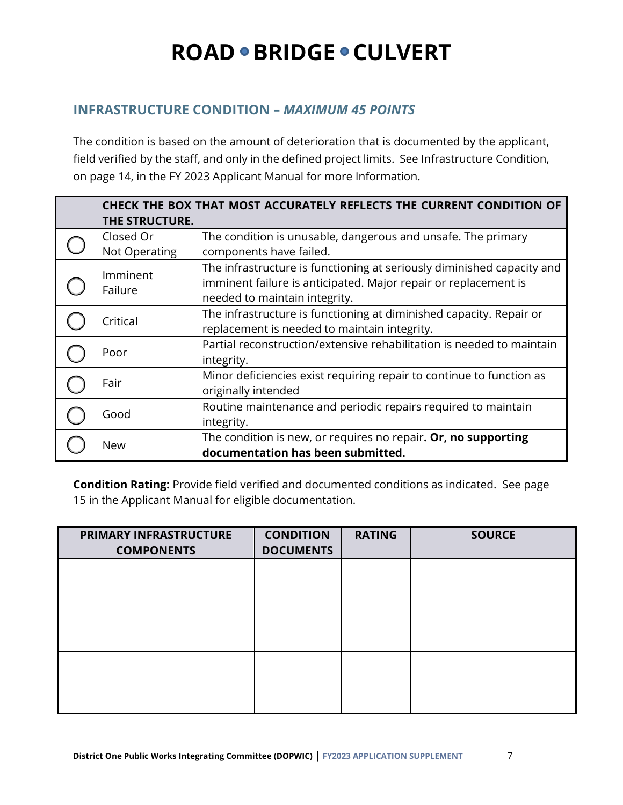### **INFRASTRUCTURE CONDITION –** *MAXIMUM 45 POINTS*

The condition is based on the amount of deterioration that is documented by the applicant, field verified by the staff, and only in the defined project limits. See Infrastructure Condition, on page 14, in the FY 2023 Applicant Manual for more Information.

| THE STRUCTURE.             | CHECK THE BOX THAT MOST ACCURATELY REFLECTS THE CURRENT CONDITION OF                                                                                                       |
|----------------------------|----------------------------------------------------------------------------------------------------------------------------------------------------------------------------|
| Closed Or<br>Not Operating | The condition is unusable, dangerous and unsafe. The primary<br>components have failed.                                                                                    |
| Imminent<br>Failure        | The infrastructure is functioning at seriously diminished capacity and<br>imminent failure is anticipated. Major repair or replacement is<br>needed to maintain integrity. |
| Critical                   | The infrastructure is functioning at diminished capacity. Repair or<br>replacement is needed to maintain integrity.                                                        |
| Poor                       | Partial reconstruction/extensive rehabilitation is needed to maintain<br>integrity.                                                                                        |
| Fair                       | Minor deficiencies exist requiring repair to continue to function as<br>originally intended                                                                                |
| Good                       | Routine maintenance and periodic repairs required to maintain<br>integrity.                                                                                                |
| <b>New</b>                 | The condition is new, or requires no repair. Or, no supporting<br>documentation has been submitted.                                                                        |

**Condition Rating:** Provide field verified and documented conditions as indicated. See page 15 in the Applicant Manual for eligible documentation.

| PRIMARY INFRASTRUCTURE<br><b>COMPONENTS</b> | <b>CONDITION</b><br><b>DOCUMENTS</b> | <b>RATING</b> | <b>SOURCE</b> |
|---------------------------------------------|--------------------------------------|---------------|---------------|
|                                             |                                      |               |               |
|                                             |                                      |               |               |
|                                             |                                      |               |               |
|                                             |                                      |               |               |
|                                             |                                      |               |               |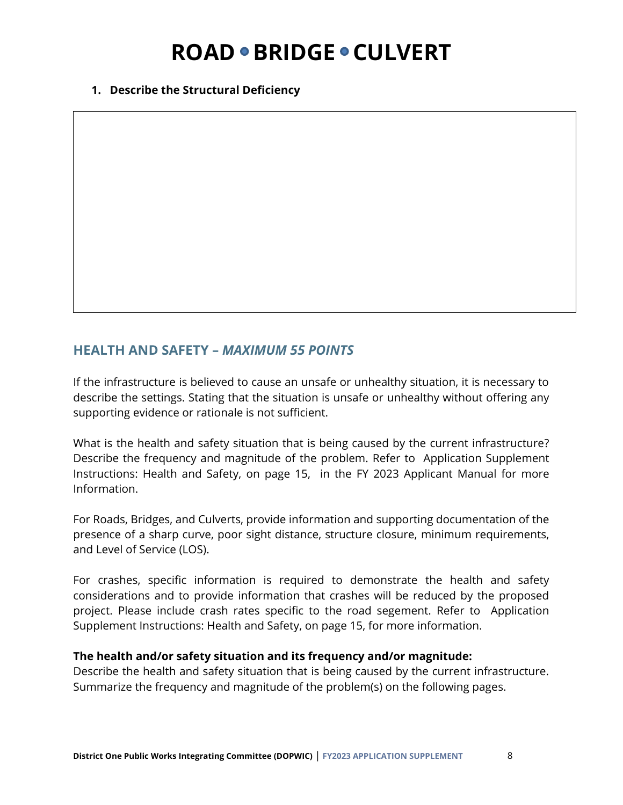#### **1. Describe the Structural Deficiency**

#### **HEALTH AND SAFETY –** *MAXIMUM 55 POINTS*

If the infrastructure is believed to cause an unsafe or unhealthy situation, it is necessary to describe the settings. Stating that the situation is unsafe or unhealthy without offering any supporting evidence or rationale is not sufficient.

What is the health and safety situation that is being caused by the current infrastructure? Describe the frequency and magnitude of the problem. Refer to Application Supplement Instructions: Health and Safety, on page 15, in the FY 2023 Applicant Manual for more Information.

For Roads, Bridges, and Culverts, provide information and supporting documentation of the presence of a sharp curve, poor sight distance, structure closure, minimum requirements, and Level of Service (LOS).

For crashes, specific information is required to demonstrate the health and safety considerations and to provide information that crashes will be reduced by the proposed project. Please include crash rates specific to the road segement. Refer to Application Supplement Instructions: Health and Safety, on page 15, for more information.

#### **The health and/or safety situation and its frequency and/or magnitude:**

Describe the health and safety situation that is being caused by the current infrastructure. Summarize the frequency and magnitude of the problem(s) on the following pages.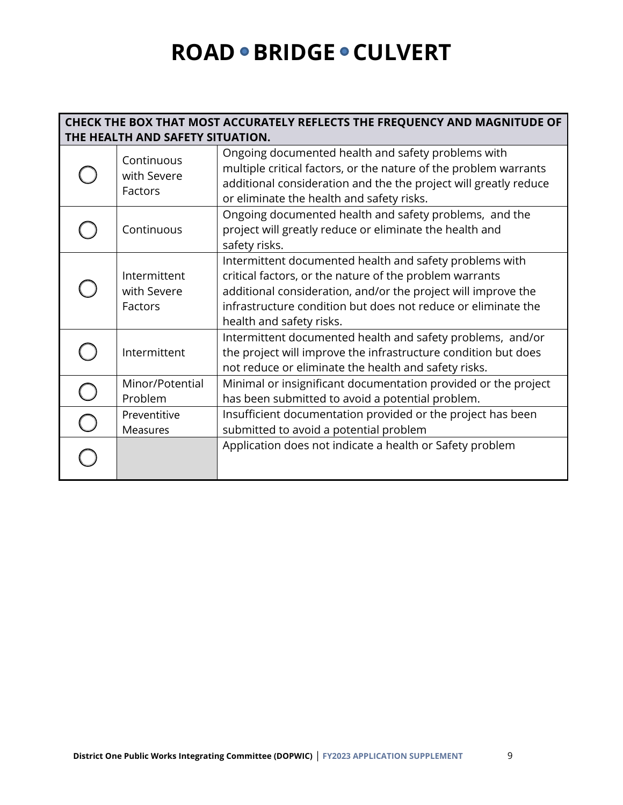#### **CHECK THE BOX THAT MOST ACCURATELY REFLECTS THE FREQUENCY AND MAGNITUDE OF THE HEALTH AND SAFETY SITUATION.**

| Continuous<br>with Severe<br>Factors   | Ongoing documented health and safety problems with<br>multiple critical factors, or the nature of the problem warrants<br>additional consideration and the the project will greatly reduce<br>or eliminate the health and safety risks.                                          |
|----------------------------------------|----------------------------------------------------------------------------------------------------------------------------------------------------------------------------------------------------------------------------------------------------------------------------------|
| Continuous                             | Ongoing documented health and safety problems, and the<br>project will greatly reduce or eliminate the health and<br>safety risks.                                                                                                                                               |
| Intermittent<br>with Severe<br>Factors | Intermittent documented health and safety problems with<br>critical factors, or the nature of the problem warrants<br>additional consideration, and/or the project will improve the<br>infrastructure condition but does not reduce or eliminate the<br>health and safety risks. |
| Intermittent                           | Intermittent documented health and safety problems, and/or<br>the project will improve the infrastructure condition but does<br>not reduce or eliminate the health and safety risks.                                                                                             |
| Minor/Potential<br>Problem             | Minimal or insignificant documentation provided or the project<br>has been submitted to avoid a potential problem.                                                                                                                                                               |
| Preventitive<br><b>Measures</b>        | Insufficient documentation provided or the project has been<br>submitted to avoid a potential problem                                                                                                                                                                            |
|                                        | Application does not indicate a health or Safety problem                                                                                                                                                                                                                         |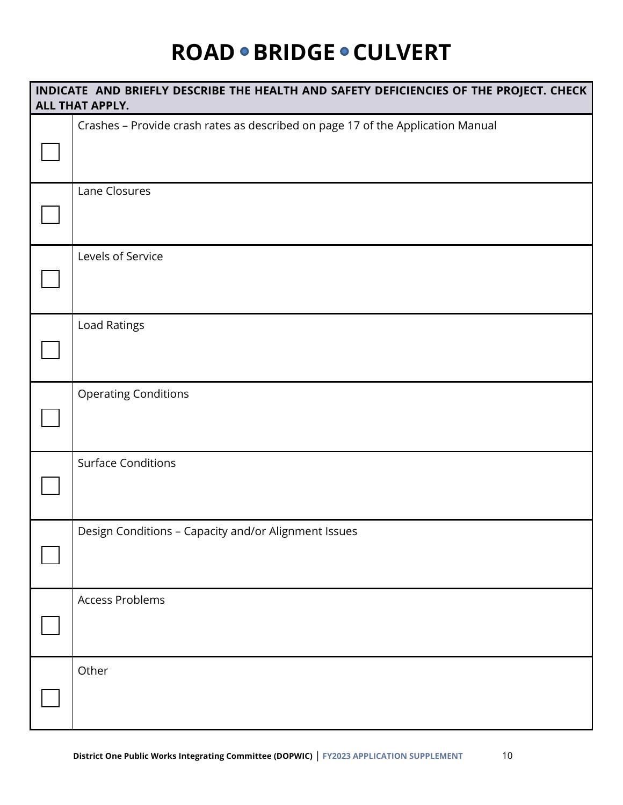| INDICATE AND BRIEFLY DESCRIBE THE HEALTH AND SAFETY DEFICIENCIES OF THE PROJECT. CHECK<br>ALL THAT APPLY. |
|-----------------------------------------------------------------------------------------------------------|
| Crashes - Provide crash rates as described on page 17 of the Application Manual                           |
| Lane Closures                                                                                             |
| Levels of Service                                                                                         |
| Load Ratings                                                                                              |
| <b>Operating Conditions</b>                                                                               |
| <b>Surface Conditions</b>                                                                                 |
| Design Conditions - Capacity and/or Alignment Issues                                                      |
| <b>Access Problems</b>                                                                                    |
| Other                                                                                                     |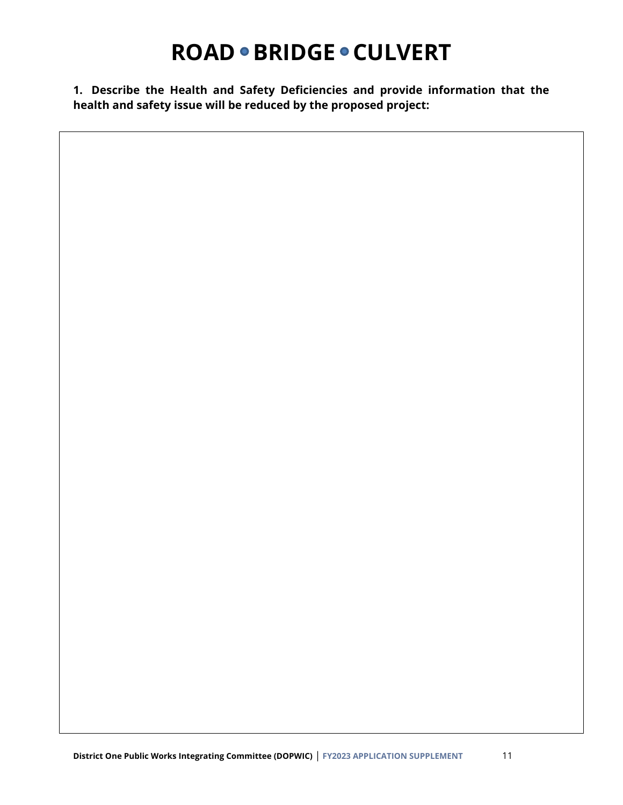**1. Describe the Health and Safety Deficiencies and provide information that the health and safety issue will be reduced by the proposed project:**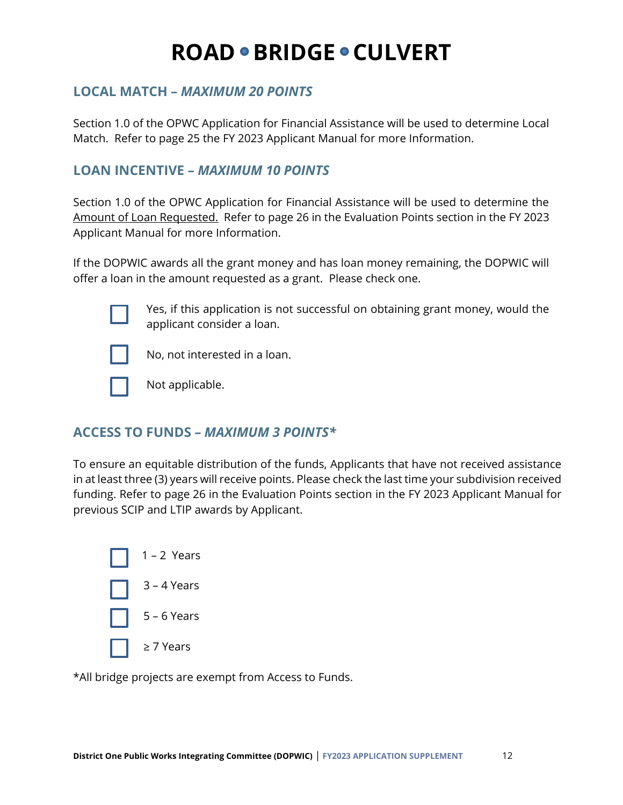### **LOCAL MATCH –** *MAXIMUM 20 POINTS*

Section 1.0 of the OPWC Application for Financial Assistance will be used to determine Local Match. Refer to page 25 the FY 2023 Applicant Manual for more Information.

#### **LOAN INCENTIVE –** *MAXIMUM 10 POINTS*

Section 1.0 of the OPWC Application for Financial Assistance will be used to determine the Amount of Loan Requested. Refer to page 26 in the Evaluation Points section in the FY 2023 Applicant Manual for more Information.

If the DOPWIC awards all the grant money and has loan money remaining, the DOPWIC will offer a loan in the amount requested as a grant. Please check one.



Yes, if this application is not successful on obtaining grant money, would the applicant consider a loan.



No, not interested in a loan.



Not applicable.

### **ACCESS TO FUNDS** *– MAXIMUM 3 POINTS\**

To ensure an equitable distribution of the funds, Applicants that have not received assistance in at least three (3) years will receive points. Please check the last time your subdivision received funding. Refer to page 26 in the Evaluation Points section in the FY 2023 Applicant Manual for previous SCIP and LTIP awards by Applicant.



\*All bridge projects are exempt from Access to Funds.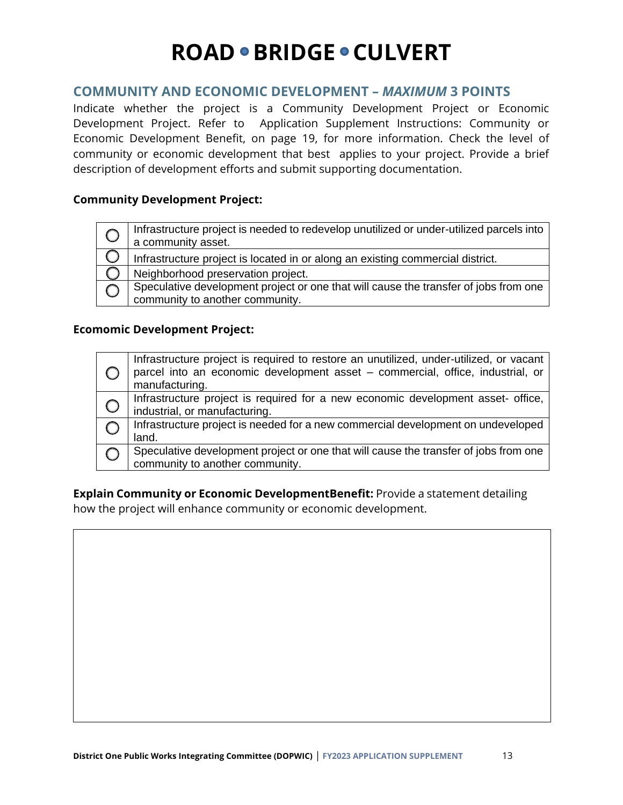#### **COMMUNITY AND ECONOMIC DEVELOPMENT –** *MAXIMUM* **3 POINTS**

Indicate whether the project is a Community Development Project or Economic Development Project. Refer to Application Supplement Instructions: Community or Economic Development Benefit, on page 19, for more information. Check the level of community or economic development that best applies to your project. Provide a brief description of development efforts and submit supporting documentation.

#### **Community Development Project:**

| Infrastructure project is needed to redevelop unutilized or under-utilized parcels into<br>a community asset.           |
|-------------------------------------------------------------------------------------------------------------------------|
| Infrastructure project is located in or along an existing commercial district.                                          |
| Neighborhood preservation project.                                                                                      |
| Speculative development project or one that will cause the transfer of jobs from one<br>community to another community. |

#### **Ecomomic Development Project:**

|            | Infrastructure project is required to restore an unutilized, under-utilized, or vacant<br>parcel into an economic development asset - commercial, office, industrial, or<br>manufacturing. |
|------------|--------------------------------------------------------------------------------------------------------------------------------------------------------------------------------------------|
| $\bigcirc$ | Infrastructure project is required for a new economic development asset-office,<br>industrial, or manufacturing.                                                                           |
|            | Infrastructure project is needed for a new commercial development on undeveloped<br>land.                                                                                                  |
|            | Speculative development project or one that will cause the transfer of jobs from one<br>community to another community.                                                                    |

**Explain Community or Economic DevelopmentBenefit:** Provide a statement detailing how the project will enhance community or economic development.

**REGIONAL COLLABORATION**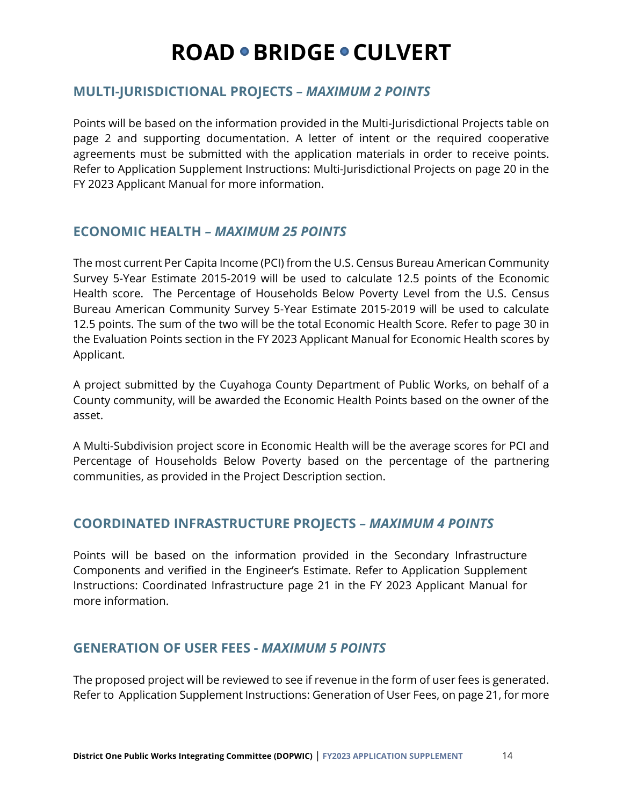#### **MULTI-JURISDICTIONAL PROJECTS** *– MAXIMUM 2 POINTS*

Points will be based on the information provided in the Multi-Jurisdictional Projects table on page 2 and supporting documentation. A letter of intent or the required cooperative agreements must be submitted with the application materials in order to receive points. Refer to Application Supplement Instructions: Multi-Jurisdictional Projects on page 20 in the FY 2023 Applicant Manual for more information.

### **ECONOMIC HEALTH** *– MAXIMUM 25 POINTS*

The most current Per Capita Income (PCI) from the U.S. Census Bureau American Community Survey 5-Year Estimate 2015-2019 will be used to calculate 12.5 points of the Economic Health score. The Percentage of Households Below Poverty Level from the U.S. Census Bureau American Community Survey 5-Year Estimate 2015-2019 will be used to calculate 12.5 points. The sum of the two will be the total Economic Health Score. Refer to page 30 in the Evaluation Points section in the FY 2023 Applicant Manual for Economic Health scores by Applicant.

A project submitted by the Cuyahoga County Department of Public Works, on behalf of a County community, will be awarded the Economic Health Points based on the owner of the asset.

A Multi-Subdivision project score in Economic Health will be the average scores for PCI and Percentage of Households Below Poverty based on the percentage of the partnering communities, as provided in the Project Description section.

### **COORDINATED INFRASTRUCTURE PROJECTS** *– MAXIMUM 4 POINTS*

Points will be based on the information provided in the Secondary Infrastructure Components and verified in the Engineer's Estimate. Refer to Application Supplement Instructions: Coordinated Infrastructure page 21 in the FY 2023 Applicant Manual for more information.

### **GENERATION OF USER FEES -** *MAXIMUM 5 POINTS*

The proposed project will be reviewed to see if revenue in the form of user fees is generated. Refer to Application Supplement Instructions: Generation of User Fees, on page 21, for more